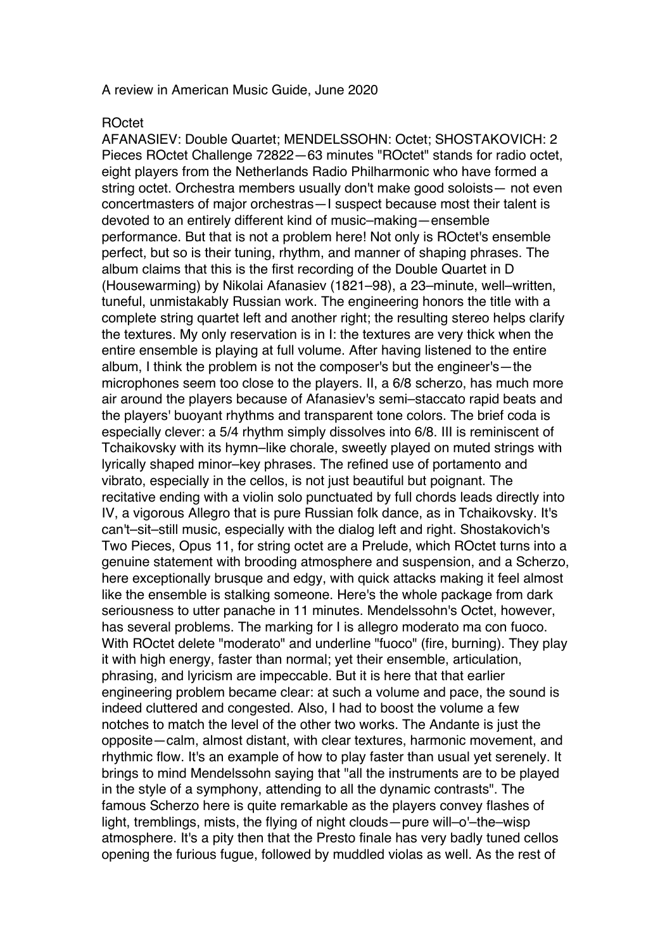## A review in American Music Guide, June 2020

## ROctet

AFANASIEV: Double Quartet; MENDELSSOHN: Octet; SHOSTAKOVICH: 2 Pieces ROctet Challenge 72822—63 minutes "ROctet" stands for radio octet, eight players from the Netherlands Radio Philharmonic who have formed a string octet. Orchestra members usually don't make good soloists— not even concertmasters of major orchestras—I suspect because most their talent is devoted to an entirely different kind of music–making—ensemble performance. But that is not a problem here! Not only is ROctet's ensemble perfect, but so is their tuning, rhythm, and manner of shaping phrases. The album claims that this is the first recording of the Double Quartet in D (Housewarming) by Nikolai Afanasiev (1821–98), a 23–minute, well–written, tuneful, unmistakably Russian work. The engineering honors the title with a complete string quartet left and another right; the resulting stereo helps clarify the textures. My only reservation is in I: the textures are very thick when the entire ensemble is playing at full volume. After having listened to the entire album, I think the problem is not the composer's but the engineer's—the microphones seem too close to the players. II, a 6/8 scherzo, has much more air around the players because of Afanasiev's semi–staccato rapid beats and the players' buoyant rhythms and transparent tone colors. The brief coda is especially clever: a 5/4 rhythm simply dissolves into 6/8. III is reminiscent of Tchaikovsky with its hymn–like chorale, sweetly played on muted strings with lyrically shaped minor–key phrases. The refined use of portamento and vibrato, especially in the cellos, is not just beautiful but poignant. The recitative ending with a violin solo punctuated by full chords leads directly into IV, a vigorous Allegro that is pure Russian folk dance, as in Tchaikovsky. It's can't–sit–still music, especially with the dialog left and right. Shostakovich's Two Pieces, Opus 11, for string octet are a Prelude, which ROctet turns into a genuine statement with brooding atmosphere and suspension, and a Scherzo, here exceptionally brusque and edgy, with quick attacks making it feel almost like the ensemble is stalking someone. Here's the whole package from dark seriousness to utter panache in 11 minutes. Mendelssohn's Octet, however, has several problems. The marking for I is allegro moderato ma con fuoco. With ROctet delete "moderato" and underline "fuoco" (fire, burning). They play it with high energy, faster than normal; yet their ensemble, articulation, phrasing, and lyricism are impeccable. But it is here that that earlier engineering problem became clear: at such a volume and pace, the sound is indeed cluttered and congested. Also, I had to boost the volume a few notches to match the level of the other two works. The Andante is just the opposite—calm, almost distant, with clear textures, harmonic movement, and rhythmic flow. It's an example of how to play faster than usual yet serenely. It brings to mind Mendelssohn saying that "all the instruments are to be played in the style of a symphony, attending to all the dynamic contrasts". The famous Scherzo here is quite remarkable as the players convey flashes of light, tremblings, mists, the flying of night clouds—pure will–o'–the–wisp atmosphere. It's a pity then that the Presto finale has very badly tuned cellos opening the furious fugue, followed by muddled violas as well. As the rest of